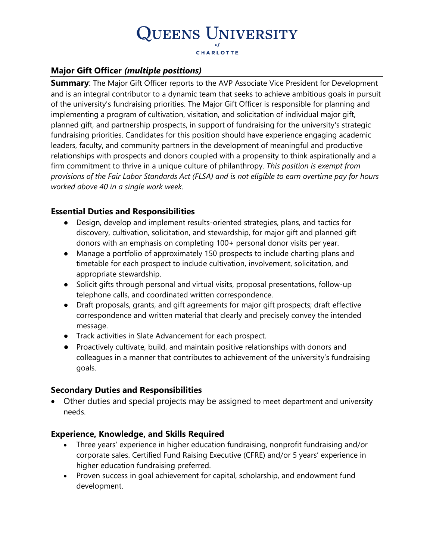### **Major Gift Officer** *(multiple positions)*

**Summary:** The Major Gift Officer reports to the AVP Associate Vice President for Development and is an integral contributor to a dynamic team that seeks to achieve ambitious goals in pursuit of the university's fundraising priorities. The Major Gift Officer is responsible for planning and implementing a program of cultivation, visitation, and solicitation of individual major gift, planned gift, and partnership prospects, in support of fundraising for the university's strategic fundraising priorities. Candidates for this position should have experience engaging academic leaders, faculty, and community partners in the development of meaningful and productive relationships with prospects and donors coupled with a propensity to think aspirationally and a firm commitment to thrive in a unique culture of philanthropy. *This position is exempt from provisions of the Fair Labor Standards Act (FLSA) and is not eligible to earn overtime pay for hours worked above 40 in a single work week.*

### **Essential Duties and Responsibilities**

- Design, develop and implement results-oriented strategies, plans, and tactics for discovery, cultivation, solicitation, and stewardship, for major gift and planned gift donors with an emphasis on completing 100+ personal donor visits per year.
- Manage a portfolio of approximately 150 prospects to include charting plans and timetable for each prospect to include cultivation, involvement, solicitation, and appropriate stewardship.
- Solicit gifts through personal and virtual visits, proposal presentations, follow-up telephone calls, and coordinated written correspondence.
- Draft proposals, grants, and gift agreements for major gift prospects; draft effective correspondence and written material that clearly and precisely convey the intended message.
- Track activities in Slate Advancement for each prospect.
- Proactively cultivate, build, and maintain positive relationships with donors and colleagues in a manner that contributes to achievement of the university's fundraising goals.

### **Secondary Duties and Responsibilities**

• Other duties and special projects may be assigned to meet department and university needs.

### **Experience, Knowledge, and Skills Required**

- Three years' experience in higher education fundraising, nonprofit fundraising and/or corporate sales. Certified Fund Raising Executive (CFRE) and/or 5 years' experience in higher education fundraising preferred.
- Proven success in goal achievement for capital, scholarship, and endowment fund development.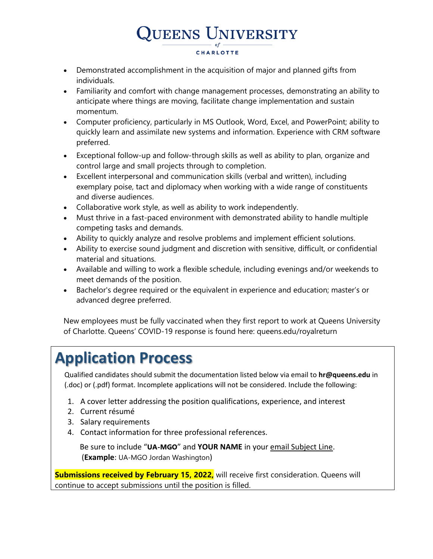- Demonstrated accomplishment in the acquisition of major and planned gifts from individuals.
- Familiarity and comfort with change management processes, demonstrating an ability to anticipate where things are moving, facilitate change implementation and sustain momentum.
- Computer proficiency, particularly in MS Outlook, Word, Excel, and PowerPoint; ability to quickly learn and assimilate new systems and information. Experience with CRM software preferred.
- Exceptional follow-up and follow-through skills as well as ability to plan, organize and control large and small projects through to completion.
- Excellent interpersonal and communication skills (verbal and written), including exemplary poise, tact and diplomacy when working with a wide range of constituents and diverse audiences.
- Collaborative work style, as well as ability to work independently.
- Must thrive in a fast-paced environment with demonstrated ability to handle multiple competing tasks and demands.
- Ability to quickly analyze and resolve problems and implement efficient solutions.
- Ability to exercise sound judgment and discretion with sensitive, difficult, or confidential material and situations.
- Available and willing to work a flexible schedule, including evenings and/or weekends to meet demands of the position.
- Bachelor's degree required or the equivalent in experience and education; master's or advanced degree preferred.

New employees must be fully vaccinated when they first report to work at Queens University of Charlotte. Queens' COVID-19 response is found here: queens.edu/royalreturn

# **Application Process**

Qualified candidates should submit the documentation listed below via email to **hr@queens.edu** in (.doc) or (.pdf) format. Incomplete applications will not be considered. Include the following:

- 1. A cover letter addressing the position qualifications, experience, and interest
- 2. Current résumé
- 3. Salary requirements
- 4. Contact information for three professional references.

 Be sure to include "**UA-MGO**" and **YOUR NAME** in your email Subject Line. (**Example**: UA-MGO Jordan Washington)

**Submissions received by February 15, 2022,** will receive first consideration. Queens will continue to accept submissions until the position is filled.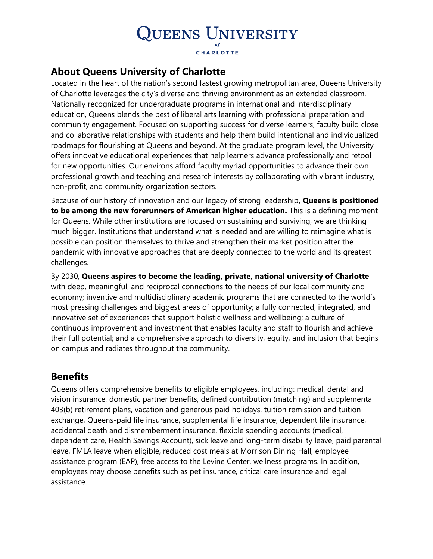### **About Queens University of Charlotte**

Located in the heart of the nation's second fastest growing metropolitan area, Queens University of Charlotte leverages the city's diverse and thriving environment as an extended classroom. Nationally recognized for undergraduate programs in international and interdisciplinary education, Queens blends the best of liberal arts learning with professional preparation and community engagement. Focused on supporting success for diverse learners, faculty build close and collaborative relationships with students and help them build intentional and individualized roadmaps for flourishing at Queens and beyond. At the graduate program level, the University offers innovative educational experiences that help learners advance professionally and retool for new opportunities. Our environs afford faculty myriad opportunities to advance their own professional growth and teaching and research interests by collaborating with vibrant industry, non-profit, and community organization sectors.

Because of our history of innovation and our legacy of strong leadership**, Queens is positioned to be among the new forerunners of American higher education.** This is a defining moment for Queens. While other institutions are focused on sustaining and surviving, we are thinking much bigger. Institutions that understand what is needed and are willing to reimagine what is possible can position themselves to thrive and strengthen their market position after the pandemic with innovative approaches that are deeply connected to the world and its greatest challenges.

By 2030, **Queens aspires to become the leading, private, national university of Charlotte** with deep, meaningful, and reciprocal connections to the needs of our local community and economy; inventive and multidisciplinary academic programs that are connected to the world's most pressing challenges and biggest areas of opportunity; a fully connected, integrated, and innovative set of experiences that support holistic wellness and wellbeing; a culture of continuous improvement and investment that enables faculty and staff to flourish and achieve their full potential; and a comprehensive approach to diversity, equity, and inclusion that begins on campus and radiates throughout the community.

### **Benefits**

Queens offers comprehensive benefits to eligible employees, including: medical, dental and vision insurance, domestic partner benefits, defined contribution (matching) and supplemental 403(b) retirement plans, vacation and generous paid holidays, tuition remission and tuition exchange, Queens-paid life insurance, supplemental life insurance, dependent life insurance, accidental death and dismemberment insurance, flexible spending accounts (medical, dependent care, Health Savings Account), sick leave and long-term disability leave, paid parental leave, FMLA leave when eligible, reduced cost meals at Morrison Dining Hall, employee assistance program (EAP), free access to the Levine Center, wellness programs. In addition, employees may choose benefits such as pet insurance, critical care insurance and legal assistance.